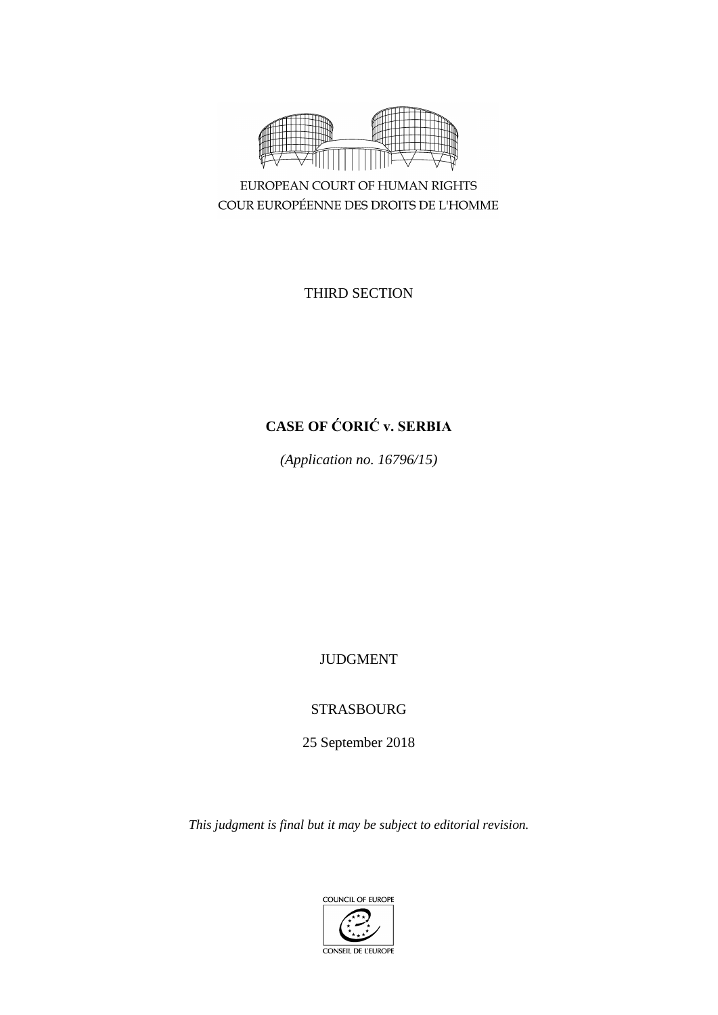

EUROPEAN COURT OF HUMAN RIGHTS COUR EUROPÉENNE DES DROITS DE L'HOMME

THIRD SECTION

# **CASE OF ĆORIĆ v. SERBIA**

*(Application no. 16796/15)*

JUDGMENT

STRASBOURG

25 September 2018

*This judgment is final but it may be subject to editorial revision.*

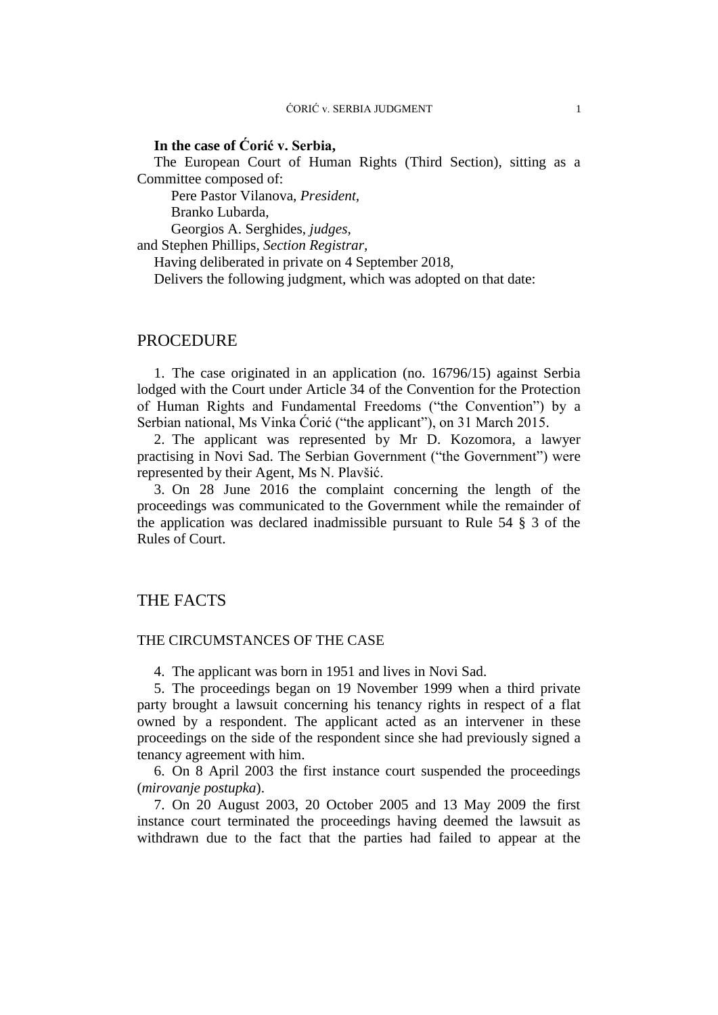# **In the case of Ćorić v. Serbia,**

The European Court of Human Rights (Third Section), sitting as a Committee composed of:

Pere Pastor Vilanova, *President,*

Branko Lubarda,

Georgios A. Serghides, *judges,* and Stephen Phillips, *Section Registrar,*

Having deliberated in private on 4 September 2018,

Delivers the following judgment, which was adopted on that date:

# PROCEDURE

1. The case originated in an application (no. 16796/15) against Serbia lodged with the Court under Article 34 of the Convention for the Protection of Human Rights and Fundamental Freedoms ("the Convention") by a Serbian national, Ms Vinka Ćorić ("the applicant"), on 31 March 2015.

2. The applicant was represented by Mr D. Kozomora, a lawyer practising in Novi Sad. The Serbian Government ("the Government") were represented by their Agent, Ms N. Plavšić.

3. On 28 June 2016 the complaint concerning the length of the proceedings was communicated to the Government while the remainder of the application was declared inadmissible pursuant to Rule 54 § 3 of the Rules of Court.

# THE FACTS

## THE CIRCUMSTANCES OF THE CASE

4. The applicant was born in 1951 and lives in Novi Sad.

5. The proceedings began on 19 November 1999 when a third private party brought a lawsuit concerning his tenancy rights in respect of a flat owned by a respondent. The applicant acted as an intervener in these proceedings on the side of the respondent since she had previously signed a tenancy agreement with him.

6. On 8 April 2003 the first instance court suspended the proceedings (*mirovanje postupka*).

7. On 20 August 2003, 20 October 2005 and 13 May 2009 the first instance court terminated the proceedings having deemed the lawsuit as withdrawn due to the fact that the parties had failed to appear at the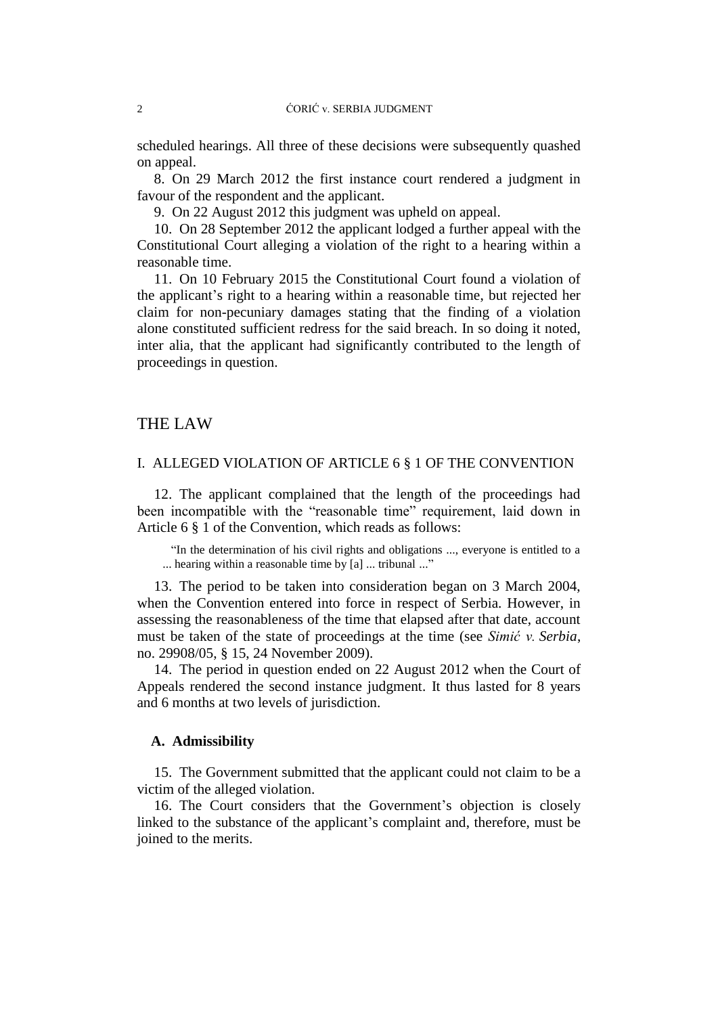scheduled hearings. All three of these decisions were subsequently quashed on appeal.

8. On 29 March 2012 the first instance court rendered a judgment in favour of the respondent and the applicant.

9. On 22 August 2012 this judgment was upheld on appeal.

10. On 28 September 2012 the applicant lodged a further appeal with the Constitutional Court alleging a violation of the right to a hearing within a reasonable time.

11. On 10 February 2015 the Constitutional Court found a violation of the applicant's right to a hearing within a reasonable time, but rejected her claim for non-pecuniary damages stating that the finding of a violation alone constituted sufficient redress for the said breach. In so doing it noted, inter alia, that the applicant had significantly contributed to the length of proceedings in question.

# THE LAW

#### I. ALLEGED VIOLATION OF ARTICLE 6 § 1 OF THE CONVENTION

12. The applicant complained that the length of the proceedings had been incompatible with the "reasonable time" requirement, laid down in Article 6 § 1 of the Convention, which reads as follows:

"In the determination of his civil rights and obligations ..., everyone is entitled to a ... hearing within a reasonable time by [a] ... tribunal ..."

13. The period to be taken into consideration began on 3 March 2004, when the Convention entered into force in respect of Serbia. However, in assessing the reasonableness of the time that elapsed after that date, account must be taken of the state of proceedings at the time (see *Simić v. Serbia*, no. 29908/05, § 15, 24 November 2009).

14. The period in question ended on 22 August 2012 when the Court of Appeals rendered the second instance judgment. It thus lasted for 8 years and 6 months at two levels of jurisdiction.

#### **A. Admissibility**

15. The Government submitted that the applicant could not claim to be a victim of the alleged violation.

16. The Court considers that the Government's objection is closely linked to the substance of the applicant's complaint and, therefore, must be joined to the merits.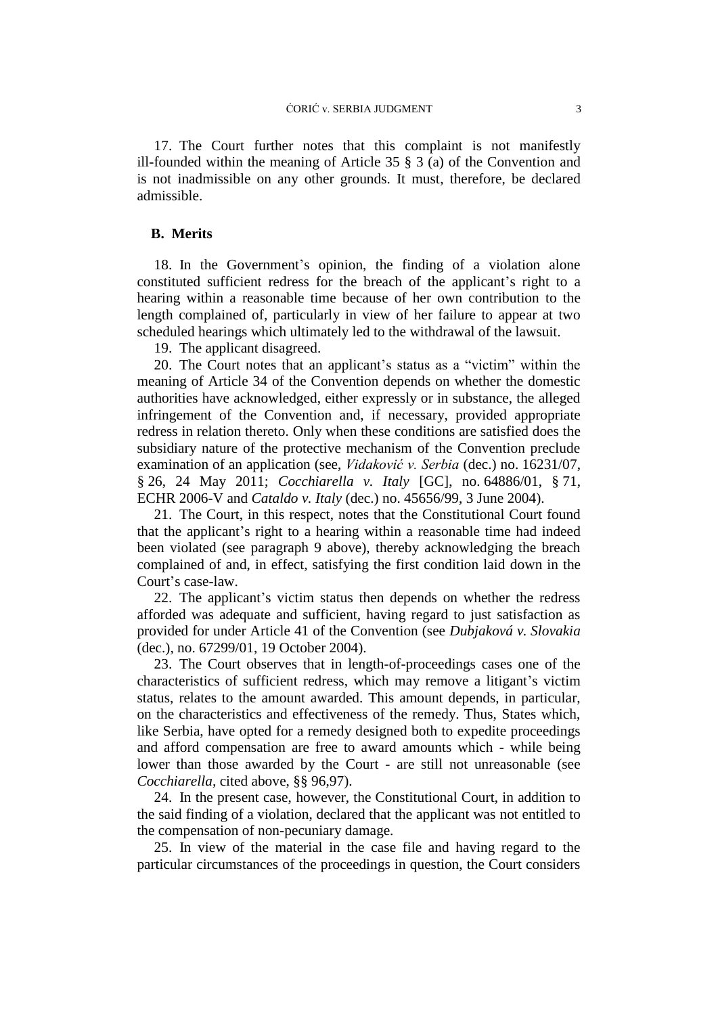17. The Court further notes that this complaint is not manifestly ill-founded within the meaning of Article 35 § 3 (a) of the Convention and is not inadmissible on any other grounds. It must, therefore, be declared admissible.

# **B. Merits**

18. In the Government's opinion, the finding of a violation alone constituted sufficient redress for the breach of the applicant's right to a hearing within a reasonable time because of her own contribution to the length complained of, particularly in view of her failure to appear at two scheduled hearings which ultimately led to the withdrawal of the lawsuit.

19. The applicant disagreed.

20. The Court notes that an applicant's status as a "victim" within the meaning of Article 34 of the Convention depends on whether the domestic authorities have acknowledged, either expressly or in substance, the alleged infringement of the Convention and, if necessary, provided appropriate redress in relation thereto. Only when these conditions are satisfied does the subsidiary nature of the protective mechanism of the Convention preclude examination of an application (see, *Vidaković v. Serbia* (dec.) no. 16231/07, § 26, 24 May 2011; *Cocchiarella v. Italy* [GC], no. 64886/01, § 71, ECHR 2006-V and *Cataldo v. Italy* (dec.) no. 45656/99, 3 June 2004).

21. The Court, in this respect, notes that the Constitutional Court found that the applicant's right to a hearing within a reasonable time had indeed been violated (see paragraph 9 above), thereby acknowledging the breach complained of and, in effect, satisfying the first condition laid down in the Court's case-law.

22. The applicant's victim status then depends on whether the redress afforded was adequate and sufficient, having regard to just satisfaction as provided for under Article 41 of the Convention (see *Dubjaková v. Slovakia* (dec.), no. [67299/01,](https://hudoc.echr.coe.int/eng#{"appno":["67299/01"]}) 19 October 2004).

23. The Court observes that in length-of-proceedings cases one of the characteristics of sufficient redress, which may remove a litigant's victim status, relates to the amount awarded. This amount depends, in particular, on the characteristics and effectiveness of the remedy. Thus, States which, like Serbia, have opted for a remedy designed both to expedite proceedings and afford compensation are free to award amounts which - while being lower than those awarded by the Court - are still not unreasonable (see *Cocchiarella,* cited above, §§ 96,97).

24. In the present case, however, the Constitutional Court, in addition to the said finding of a violation, declared that the applicant was not entitled to the compensation of non-pecuniary damage.

25. In view of the material in the case file and having regard to the particular circumstances of the proceedings in question, the Court considers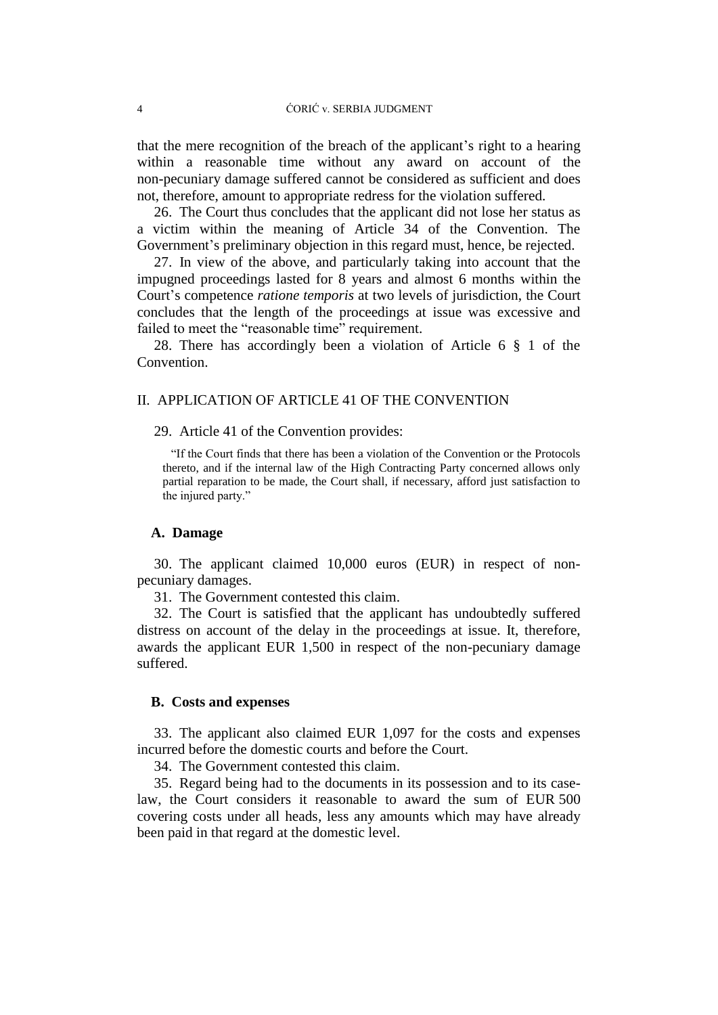that the mere recognition of the breach of the applicant's right to a hearing within a reasonable time without any award on account of the non-pecuniary damage suffered cannot be considered as sufficient and does not, therefore, amount to appropriate redress for the violation suffered.

26. The Court thus concludes that the applicant did not lose her status as a victim within the meaning of Article 34 of the Convention. The Government's preliminary objection in this regard must, hence, be rejected.

27. In view of the above, and particularly taking into account that the impugned proceedings lasted for 8 years and almost 6 months within the Court's competence *ratione temporis* at two levels of jurisdiction, the Court concludes that the length of the proceedings at issue was excessive and failed to meet the "reasonable time" requirement.

28. There has accordingly been a violation of Article 6 § 1 of the Convention.

### II. APPLICATION OF ARTICLE 41 OF THE CONVENTION

29. Article 41 of the Convention provides:

"If the Court finds that there has been a violation of the Convention or the Protocols thereto, and if the internal law of the High Contracting Party concerned allows only partial reparation to be made, the Court shall, if necessary, afford just satisfaction to the injured party."

# **A. Damage**

30. The applicant claimed 10,000 euros (EUR) in respect of nonpecuniary damages.

31. The Government contested this claim.

32. The Court is satisfied that the applicant has undoubtedly suffered distress on account of the delay in the proceedings at issue. It, therefore, awards the applicant EUR 1,500 in respect of the non-pecuniary damage suffered.

#### **B. Costs and expenses**

33. The applicant also claimed EUR 1,097 for the costs and expenses incurred before the domestic courts and before the Court.

34. The Government contested this claim.

35. Regard being had to the documents in its possession and to its caselaw, the Court considers it reasonable to award the sum of EUR 500 covering costs under all heads, less any amounts which may have already been paid in that regard at the domestic level.